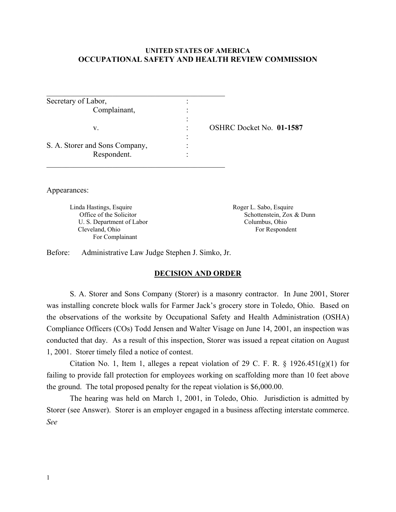#### **UNITED STATES OF AMERICA OCCUPATIONAL SAFETY AND HEALTH REVIEW COMMISSION**

| Secretary of Labor,            |                                 |
|--------------------------------|---------------------------------|
| Complainant,                   |                                 |
|                                |                                 |
| V.                             | <b>OSHRC Docket No. 01-1587</b> |
|                                |                                 |
| S. A. Storer and Sons Company, |                                 |
| Respondent.                    |                                 |
|                                |                                 |

Appearances:

Linda Hastings, Esquire Roger L. Sabo, Esquire U. S. Department of Labor Columbus, Ohio Cleveland, Ohio For Respondent For Complainant

Office of the Solicitor Schottenstein, Zox & Dunn

Before: Administrative Law Judge Stephen J. Simko, Jr.

#### **DECISION AND ORDER**

S. A. Storer and Sons Company (Storer) is a masonry contractor. In June 2001, Storer was installing concrete block walls for Farmer Jack's grocery store in Toledo, Ohio. Based on the observations of the worksite by Occupational Safety and Health Administration (OSHA) Compliance Officers (COs) Todd Jensen and Walter Visage on June 14, 2001, an inspection was conducted that day. As a result of this inspection, Storer was issued a repeat citation on August 1, 2001. Storer timely filed a notice of contest.

Citation No. 1, Item 1, alleges a repeat violation of 29 C. F. R.  $\S$  1926.451(g)(1) for failing to provide fall protection for employees working on scaffolding more than 10 feet above the ground. The total proposed penalty for the repeat violation is \$6,000.00.

The hearing was held on March 1, 2001, in Toledo, Ohio. Jurisdiction is admitted by Storer (see Answer). Storer is an employer engaged in a business affecting interstate commerce. *See*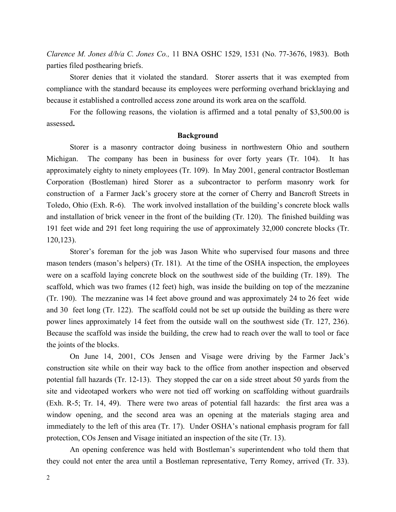*Clarence M. Jones d/b/a C. Jones Co.,* 11 BNA OSHC 1529, 1531 (No. 77-3676, 1983). Both parties filed posthearing briefs.

Storer denies that it violated the standard. Storer asserts that it was exempted from compliance with the standard because its employees were performing overhand bricklaying and because it established a controlled access zone around its work area on the scaffold.

For the following reasons, the violation is affirmed and a total penalty of \$3,500.00 is assessed**.**

#### **Background**

Storer is a masonry contractor doing business in northwestern Ohio and southern Michigan. The company has been in business for over forty years (Tr. 104). It has approximately eighty to ninety employees (Tr. 109). In May 2001, general contractor Bostleman Corporation (Bostleman) hired Storer as a subcontractor to perform masonry work for construction of a Farmer Jack's grocery store at the corner of Cherry and Bancroft Streets in Toledo, Ohio (Exh. R-6). The work involved installation of the building's concrete block walls and installation of brick veneer in the front of the building (Tr. 120). The finished building was 191 feet wide and 291 feet long requiring the use of approximately 32,000 concrete blocks (Tr. 120,123).

Storer's foreman for the job was Jason White who supervised four masons and three mason tenders (mason's helpers) (Tr. 181). At the time of the OSHA inspection, the employees were on a scaffold laying concrete block on the southwest side of the building (Tr. 189). The scaffold, which was two frames (12 feet) high, was inside the building on top of the mezzanine (Tr. 190). The mezzanine was 14 feet above ground and was approximately 24 to 26 feet wide and 30 feet long (Tr. 122). The scaffold could not be set up outside the building as there were power lines approximately 14 feet from the outside wall on the southwest side (Tr. 127, 236). Because the scaffold was inside the building, the crew had to reach over the wall to tool or face the joints of the blocks.

On June 14, 2001, COs Jensen and Visage were driving by the Farmer Jack's construction site while on their way back to the office from another inspection and observed potential fall hazards (Tr. 12-13). They stopped the car on a side street about 50 yards from the site and videotaped workers who were not tied off working on scaffolding without guardrails (Exh. R-5; Tr. 14, 49). There were two areas of potential fall hazards: the first area was a window opening, and the second area was an opening at the materials staging area and immediately to the left of this area (Tr. 17). Under OSHA's national emphasis program for fall protection, COs Jensen and Visage initiated an inspection of the site (Tr. 13).

An opening conference was held with Bostleman's superintendent who told them that they could not enter the area until a Bostleman representative, Terry Romey, arrived (Tr. 33).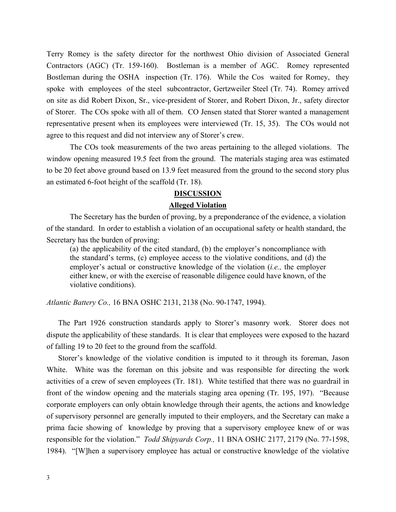Terry Romey is the safety director for the northwest Ohio division of Associated General Contractors (AGC) (Tr. 159-160). Bostleman is a member of AGC. Romey represented Bostleman during the OSHA inspection (Tr. 176). While the Cos waited for Romey, they spoke with employees of the steel subcontractor, Gertzweiler Steel (Tr. 74). Romey arrived on site as did Robert Dixon, Sr., vice-president of Storer, and Robert Dixon, Jr., safety director of Storer. The COs spoke with all of them. CO Jensen stated that Storer wanted a management representative present when its employees were interviewed (Tr. 15, 35). The COs would not agree to this request and did not interview any of Storer's crew.

The COs took measurements of the two areas pertaining to the alleged violations. The window opening measured 19.5 feet from the ground. The materials staging area was estimated to be 20 feet above ground based on 13.9 feet measured from the ground to the second story plus an estimated 6-foot height of the scaffold (Tr. 18).

# **DISCUSSION Alleged Violation**

The Secretary has the burden of proving, by a preponderance of the evidence, a violation of the standard. In order to establish a violation of an occupational safety or health standard, the Secretary has the burden of proving:

(a) the applicability of the cited standard, (b) the employer's noncompliance with the standard's terms, (c) employee access to the violative conditions, and (d) the employer's actual or constructive knowledge of the violation (*i.e.,* the employer either knew, or with the exercise of reasonable diligence could have known, of the violative conditions).

*Atlantic Battery Co.,* 16 BNA OSHC 2131, 2138 (No. 90-1747, 1994).

The Part 1926 construction standards apply to Storer's masonry work. Storer does not dispute the applicability of these standards. It is clear that employees were exposed to the hazard of falling 19 to 20 feet to the ground from the scaffold.

Storer's knowledge of the violative condition is imputed to it through its foreman, Jason White. White was the foreman on this jobsite and was responsible for directing the work activities of a crew of seven employees (Tr. 181). White testified that there was no guardrail in front of the window opening and the materials staging area opening (Tr. 195, 197). "Because corporate employers can only obtain knowledge through their agents, the actions and knowledge of supervisory personnel are generally imputed to their employers, and the Secretary can make a prima facie showing of knowledge by proving that a supervisory employee knew of or was responsible for the violation." *Todd Shipyards Corp.,* 11 BNA OSHC 2177, 2179 (No. 77-1598, 1984). "[W]hen a supervisory employee has actual or constructive knowledge of the violative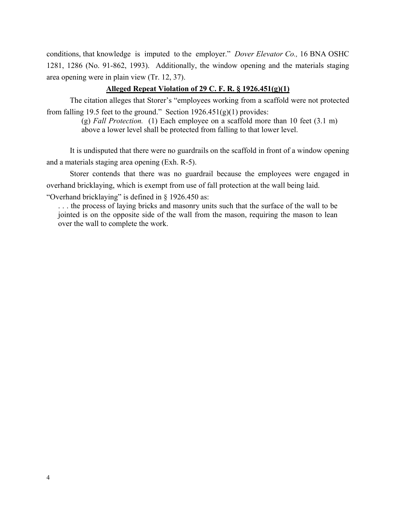conditions, that knowledge is imputed to the employer." *Dover Elevator Co.,* 16 BNA OSHC 1281, 1286 (No. 91-862, 1993). Additionally, the window opening and the materials staging area opening were in plain view (Tr. 12, 37).

## **Alleged Repeat Violation of 29 C. F. R. § 1926.451(g)(1)**

The citation alleges that Storer's "employees working from a scaffold were not protected from falling 19.5 feet to the ground." Section  $1926.451(g)(1)$  provides:

> (g) *Fall Protection.* (1) Each employee on a scaffold more than 10 feet (3.1 m) above a lower level shall be protected from falling to that lower level.

It is undisputed that there were no guardrails on the scaffold in front of a window opening and a materials staging area opening (Exh. R-5).

Storer contends that there was no guardrail because the employees were engaged in overhand bricklaying, which is exempt from use of fall protection at the wall being laid.

"Overhand bricklaying" is defined in § 1926.450 as:

. . . the process of laying bricks and masonry units such that the surface of the wall to be jointed is on the opposite side of the wall from the mason, requiring the mason to lean over the wall to complete the work.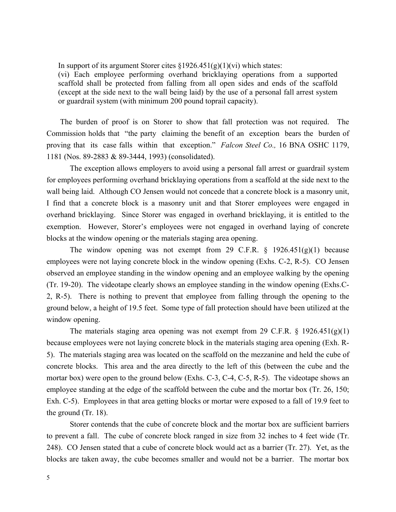In support of its argument Storer cites  $\S 1926.451(g)(1)(vi)$  which states:

(vi) Each employee performing overhand bricklaying operations from a supported scaffold shall be protected from falling from all open sides and ends of the scaffold (except at the side next to the wall being laid) by the use of a personal fall arrest system or guardrail system (with minimum 200 pound toprail capacity).

The burden of proof is on Storer to show that fall protection was not required. The Commission holds that "the party claiming the benefit of an exception bears the burden of proving that its case falls within that exception." *Falcon Steel Co.,* 16 BNA OSHC 1179, 1181 (Nos. 89-2883 & 89-3444, 1993) (consolidated).

The exception allows employers to avoid using a personal fall arrest or guardrail system for employees performing overhand bricklaying operations from a scaffold at the side next to the wall being laid. Although CO Jensen would not concede that a concrete block is a masonry unit, I find that a concrete block is a masonry unit and that Storer employees were engaged in overhand bricklaying. Since Storer was engaged in overhand bricklaying, it is entitled to the exemption. However, Storer's employees were not engaged in overhand laying of concrete blocks at the window opening or the materials staging area opening.

The window opening was not exempt from 29 C.F.R.  $\frac{1926.451(g)(1)}{29 \text{ e}}$  because employees were not laying concrete block in the window opening (Exhs. C-2, R-5). CO Jensen observed an employee standing in the window opening and an employee walking by the opening (Tr. 19-20). The videotape clearly shows an employee standing in the window opening (Exhs.C-2, R-5). There is nothing to prevent that employee from falling through the opening to the ground below, a height of 19.5 feet. Some type of fall protection should have been utilized at the window opening.

The materials staging area opening was not exempt from 29 C.F.R.  $\S$  1926.451(g)(1) because employees were not laying concrete block in the materials staging area opening (Exh. R-5). The materials staging area was located on the scaffold on the mezzanine and held the cube of concrete blocks. This area and the area directly to the left of this (between the cube and the mortar box) were open to the ground below (Exhs. C-3, C-4, C-5, R-5). The videotape shows an employee standing at the edge of the scaffold between the cube and the mortar box (Tr. 26, 150; Exh. C-5). Employees in that area getting blocks or mortar were exposed to a fall of 19.9 feet to the ground (Tr. 18).

Storer contends that the cube of concrete block and the mortar box are sufficient barriers to prevent a fall. The cube of concrete block ranged in size from 32 inches to 4 feet wide (Tr. 248). CO Jensen stated that a cube of concrete block would act as a barrier (Tr. 27). Yet, as the blocks are taken away, the cube becomes smaller and would not be a barrier. The mortar box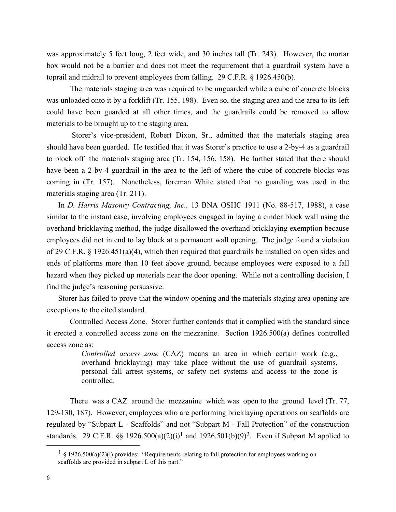was approximately 5 feet long, 2 feet wide, and 30 inches tall (Tr. 243). However, the mortar box would not be a barrier and does not meet the requirement that a guardrail system have a toprail and midrail to prevent employees from falling. 29 C.F.R. § 1926.450(b).

The materials staging area was required to be unguarded while a cube of concrete blocks was unloaded onto it by a forklift (Tr. 155, 198). Even so, the staging area and the area to its left could have been guarded at all other times, and the guardrails could be removed to allow materials to be brought up to the staging area.

Storer's vice-president, Robert Dixon, Sr., admitted that the materials staging area should have been guarded. He testified that it was Storer's practice to use a 2-by-4 as a guardrail to block off the materials staging area (Tr. 154, 156, 158). He further stated that there should have been a 2-by-4 guardrail in the area to the left of where the cube of concrete blocks was coming in (Tr. 157). Nonetheless, foreman White stated that no guarding was used in the materials staging area (Tr. 211).

 In *D. Harris Masonry Contracting, Inc.,* 13 BNA OSHC 1911 (No. 88-517, 1988), a case similar to the instant case, involving employees engaged in laying a cinder block wall using the overhand bricklaying method, the judge disallowed the overhand bricklaying exemption because employees did not intend to lay block at a permanent wall opening. The judge found a violation of 29 C.F.R. § 1926.451(a)(4), which then required that guardrails be installed on open sides and ends of platforms more than 10 feet above ground, because employees were exposed to a fall hazard when they picked up materials near the door opening. While not a controlling decision, I find the judge's reasoning persuasive.

Storer has failed to prove that the window opening and the materials staging area opening are exceptions to the cited standard.

Controlled Access Zone. Storer further contends that it complied with the standard since it erected a controlled access zone on the mezzanine. Section 1926.500(a) defines controlled access zone as:

> *Controlled access zone* (CAZ) means an area in which certain work (e.g., overhand bricklaying) may take place without the use of guardrail systems, personal fall arrest systems, or safety net systems and access to the zone is controlled.

There was a CAZ around the mezzanine which was open to the ground level (Tr. 77, 129-130, 187). However, employees who are performing bricklaying operations on scaffolds are regulated by "Subpart L - Scaffolds" and not "Subpart M - Fall Protection" of the construction standards. 29 C.F.R. §§ 1926.500(a)(2)(i)<sup>1</sup> and 1926.501(b)(9)<sup>2</sup>. Even if Subpart M applied to

 $\overline{a}$ 

 $1 \nS$  1926.500(a)(2)(i) provides: "Requirements relating to fall protection for employees working on scaffolds are provided in subpart L of this part."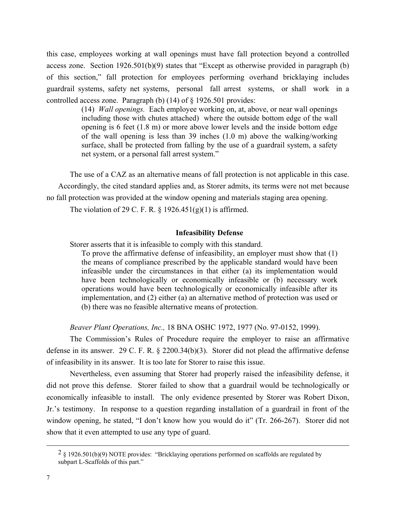this case, employees working at wall openings must have fall protection beyond a controlled access zone. Section  $1926.501(b)(9)$  states that "Except as otherwise provided in paragraph (b) of this section," fall protection for employees performing overhand bricklaying includes guardrail systems, safety net systems, personal fall arrest systems, or shall work in a controlled access zone. Paragraph (b) (14) of § 1926.501 provides:

> (14) *Wall openings.* Each employee working on, at, above, or near wall openings including those with chutes attached) where the outside bottom edge of the wall opening is 6 feet (1.8 m) or more above lower levels and the inside bottom edge of the wall opening is less than 39 inches (1.0 m) above the walking/working surface, shall be protected from falling by the use of a guardrail system, a safety net system, or a personal fall arrest system."

The use of a CAZ as an alternative means of fall protection is not applicable in this case. Accordingly, the cited standard applies and, as Storer admits, its terms were not met because no fall protection was provided at the window opening and materials staging area opening.

The violation of 29 C. F. R.  $\S$  1926.451(g)(1) is affirmed.

#### **Infeasibility Defense**

Storer asserts that it is infeasible to comply with this standard.

To prove the affirmative defense of infeasibility, an employer must show that (1) the means of compliance prescribed by the applicable standard would have been infeasible under the circumstances in that either (a) its implementation would have been technologically or economically infeasible or (b) necessary work operations would have been technologically or economically infeasible after its implementation, and (2) either (a) an alternative method of protection was used or (b) there was no feasible alternative means of protection.

*Beaver Plant Operations, Inc.,* 18 BNA OSHC 1972, 1977 (No. 97-0152, 1999).

The Commission's Rules of Procedure require the employer to raise an affirmative defense in its answer. 29 C. F. R. § 2200.34(b)(3). Storer did not plead the affirmative defense of infeasibility in its answer. It is too late for Storer to raise this issue.

Nevertheless, even assuming that Storer had properly raised the infeasibility defense, it did not prove this defense. Storer failed to show that a guardrail would be technologically or economically infeasible to install. The only evidence presented by Storer was Robert Dixon, Jr.'s testimony. In response to a question regarding installation of a guardrail in front of the window opening, he stated, "I don't know how you would do it" (Tr. 266-267). Storer did not show that it even attempted to use any type of guard.

 $\overline{a}$ 

<sup>2</sup> § 1926.501(b)(9) NOTE provides: "Bricklaying operations performed on scaffolds are regulated by subpart L-Scaffolds of this part."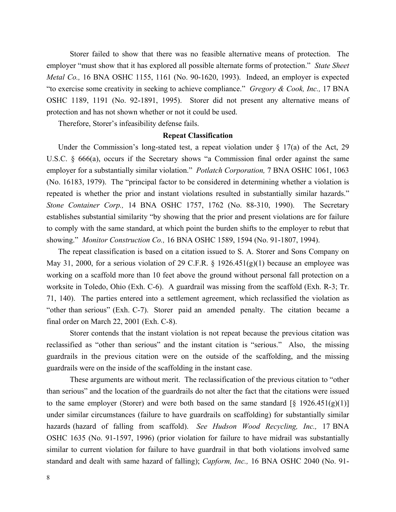Storer failed to show that there was no feasible alternative means of protection. The employer "must show that it has explored all possible alternate forms of protection." *State Sheet Metal Co.,* 16 BNA OSHC 1155, 1161 (No. 90-1620, 1993). Indeed, an employer is expected "to exercise some creativity in seeking to achieve compliance." *Gregory & Cook, Inc.,* 17 BNA OSHC 1189, 1191 (No. 92-1891, 1995). Storer did not present any alternative means of protection and has not shown whether or not it could be used.

Therefore, Storer's infeasibility defense fails.

#### **Repeat Classification**

Under the Commission's long-stated test, a repeat violation under  $\S$  17(a) of the Act, 29 U.S.C. § 666(a), occurs if the Secretary shows "a Commission final order against the same employer for a substantially similar violation." *Potlatch Corporation,* 7 BNA OSHC 1061, 1063 (No. 16183, 1979). The "principal factor to be considered in determining whether a violation is repeated is whether the prior and instant violations resulted in substantially similar hazards." *Stone Container Corp.,* 14 BNA OSHC 1757, 1762 (No. 88-310, 1990). The Secretary establishes substantial similarity "by showing that the prior and present violations are for failure to comply with the same standard, at which point the burden shifts to the employer to rebut that showing." *Monitor Construction Co.,* 16 BNA OSHC 1589, 1594 (No. 91-1807, 1994).

The repeat classification is based on a citation issued to S. A. Storer and Sons Company on May 31, 2000, for a serious violation of 29 C.F.R.  $\S$  1926.451(g)(1) because an employee was working on a scaffold more than 10 feet above the ground without personal fall protection on a worksite in Toledo, Ohio (Exh. C-6). A guardrail was missing from the scaffold (Exh. R-3; Tr. 71, 140). The parties entered into a settlement agreement, which reclassified the violation as "other than serious" (Exh. C-7). Storer paid an amended penalty. The citation became a final order on March 22, 2001 (Exh. C-8).

Storer contends that the instant violation is not repeat because the previous citation was reclassified as "other than serious" and the instant citation is "serious." Also, the missing guardrails in the previous citation were on the outside of the scaffolding, and the missing guardrails were on the inside of the scaffolding in the instant case.

These arguments are without merit. The reclassification of the previous citation to "other than serious" and the location of the guardrails do not alter the fact that the citations were issued to the same employer (Storer) and were both based on the same standard  $\lceil \xi \rceil 926.451(g)(1) \rceil$ under similar circumstances (failure to have guardrails on scaffolding) for substantially similar hazards (hazard of falling from scaffold). *See Hudson Wood Recycling, Inc.,* 17 BNA OSHC 1635 (No. 91-1597, 1996) (prior violation for failure to have midrail was substantially similar to current violation for failure to have guardrail in that both violations involved same standard and dealt with same hazard of falling); *Capform, Inc.,* 16 BNA OSHC 2040 (No. 91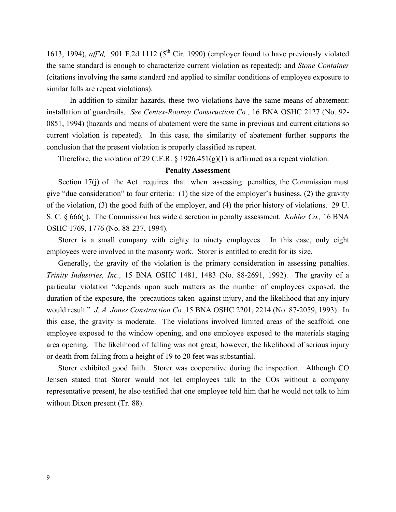1613, 1994), *aff'd*, 901 F.2d 1112 ( $5<sup>th</sup>$  Cir. 1990) (employer found to have previously violated the same standard is enough to characterize current violation as repeated); and *Stone Container* (citations involving the same standard and applied to similar conditions of employee exposure to similar falls are repeat violations).

In addition to similar hazards, these two violations have the same means of abatement: installation of guardrails. *See Centex-Rooney Construction Co.,* 16 BNA OSHC 2127 (No. 92- 0851, 1994) (hazards and means of abatement were the same in previous and current citations so current violation is repeated). In this case, the similarity of abatement further supports the conclusion that the present violation is properly classified as repeat.

Therefore, the violation of 29 C.F.R. § 1926.451(g)(1) is affirmed as a repeat violation.

#### **Penalty Assessment**

Section 17(j) of the Act requires that when assessing penalties, the Commission must give "due consideration" to four criteria: (1) the size of the employer's business, (2) the gravity of the violation, (3) the good faith of the employer, and (4) the prior history of violations. 29 U. S. C. § 666(j). The Commission has wide discretion in penalty assessment. *Kohler Co.,* 16 BNA OSHC 1769, 1776 (No. 88-237, 1994).

Storer is a small company with eighty to ninety employees. In this case, only eight employees were involved in the masonry work. Storer is entitled to credit for its size.

Generally, the gravity of the violation is the primary consideration in assessing penalties. *Trinity Industries, Inc.,* 15 BNA OSHC 1481, 1483 (No. 88-2691, 1992). The gravity of a particular violation "depends upon such matters as the number of employees exposed, the duration of the exposure, the precautions taken against injury, and the likelihood that any injury would result." *J. A. Jones Construction Co.,*15 BNA OSHC 2201, 2214 (No. 87-2059, 1993). In this case, the gravity is moderate. The violations involved limited areas of the scaffold, one employee exposed to the window opening, and one employee exposed to the materials staging area opening. The likelihood of falling was not great; however, the likelihood of serious injury or death from falling from a height of 19 to 20 feet was substantial.

Storer exhibited good faith. Storer was cooperative during the inspection. Although CO Jensen stated that Storer would not let employees talk to the COs without a company representative present, he also testified that one employee told him that he would not talk to him without Dixon present (Tr. 88).